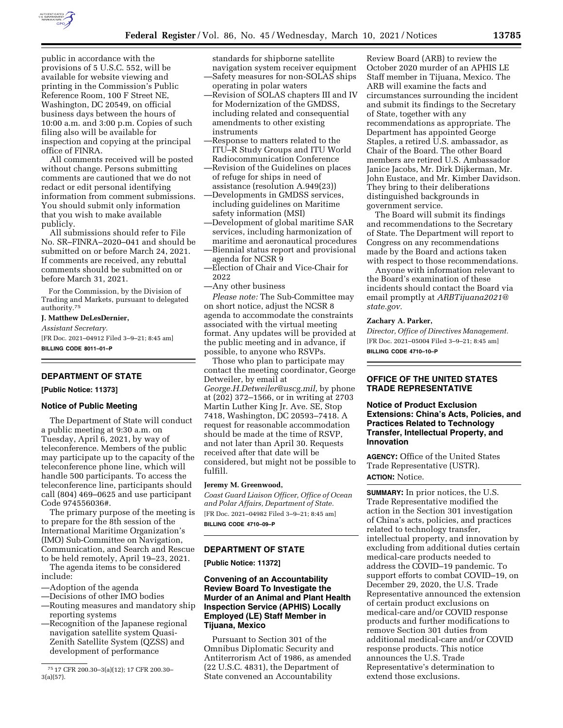

public in accordance with the provisions of 5 U.S.C. 552, will be available for website viewing and printing in the Commission's Public Reference Room, 100 F Street NE, Washington, DC 20549, on official business days between the hours of 10:00 a.m. and 3:00 p.m. Copies of such filing also will be available for inspection and copying at the principal office of FINRA.

All comments received will be posted without change. Persons submitting comments are cautioned that we do not redact or edit personal identifying information from comment submissions. You should submit only information that you wish to make available publicly.

All submissions should refer to File No. SR–FINRA–2020–041 and should be submitted on or before March 24, 2021. If comments are received, any rebuttal comments should be submitted on or before March 31, 2021.

For the Commission, by the Division of Trading and Markets, pursuant to delegated authority.75

## **J. Matthew DeLesDernier,**

*Assistant Secretary.* 

[FR Doc. 2021–04912 Filed 3–9–21; 8:45 am] **BILLING CODE 8011–01–P** 

# **DEPARTMENT OF STATE**

**[Public Notice: 11373]** 

### **Notice of Public Meeting**

The Department of State will conduct a public meeting at 9:30 a.m. on Tuesday, April 6, 2021, by way of teleconference. Members of the public may participate up to the capacity of the teleconference phone line, which will handle 500 participants. To access the teleconference line, participants should call (804) 469–0625 and use participant Code 974556036#.

The primary purpose of the meeting is to prepare for the 8th session of the International Maritime Organization's (IMO) Sub-Committee on Navigation, Communication, and Search and Rescue to be held remotely, April 19–23, 2021.

The agenda items to be considered include:

- —Adoption of the agenda
- —Decisions of other IMO bodies
- —Routing measures and mandatory ship reporting systems
- —Recognition of the Japanese regional navigation satellite system Quasi-Zenith Satellite System (QZSS) and development of performance

standards for shipborne satellite navigation system receiver equipment —Safety measures for non-SOLAS ships operating in polar waters

- —Revision of SOLAS chapters III and IV for Modernization of the GMDSS, including related and consequential amendments to other existing instruments
- —Response to matters related to the ITU–R Study Groups and ITU World Radiocommunication Conference —Revision of the Guidelines on places
- of refuge for ships in need of assistance (resolution A.949(23))
- —Developments in GMDSS services, including guidelines on Maritime safety information (MSI)
- —Development of global maritime SAR services, including harmonization of maritime and aeronautical procedures
- —Biennial status report and provisional agenda for NCSR 9
- —Election of Chair and Vice-Chair for 2022
- —Any other business

*Please note:* The Sub-Committee may on short notice, adjust the NCSR 8 agenda to accommodate the constraints associated with the virtual meeting format. Any updates will be provided at the public meeting and in advance, if possible, to anyone who RSVPs.

Those who plan to participate may contact the meeting coordinator, George Detweiler, by email at *[George.H.Detweiler@uscg.mil,](mailto:George.H.Detweiler@uscg.mil)* by phone at (202) 372–1566, or in writing at 2703 Martin Luther King Jr. Ave. SE, Stop 7418, Washington, DC 20593–7418. A request for reasonable accommodation should be made at the time of RSVP, and not later than April 30. Requests received after that date will be considered, but might not be possible to fulfill.

## **Jeremy M. Greenwood,**

*Coast Guard Liaison Officer, Office of Ocean and Polar Affairs, Department of State.*  [FR Doc. 2021–04982 Filed 3–9–21; 8:45 am] **BILLING CODE 4710–09–P** 

### **DEPARTMENT OF STATE**

**[Public Notice: 11372]** 

# **Convening of an Accountability Review Board To Investigate the Murder of an Animal and Plant Health Inspection Service (APHIS) Locally Employed (LE) Staff Member in Tijuana, Mexico**

Pursuant to Section 301 of the Omnibus Diplomatic Security and Antiterrorism Act of 1986, as amended (22 U.S.C. 4831), the Department of State convened an Accountability

Review Board (ARB) to review the October 2020 murder of an APHIS LE Staff member in Tijuana, Mexico. The ARB will examine the facts and circumstances surrounding the incident and submit its findings to the Secretary of State, together with any recommendations as appropriate. The Department has appointed George Staples, a retired U.S. ambassador, as Chair of the Board. The other Board members are retired U.S. Ambassador Janice Jacobs, Mr. Dirk Dijkerman, Mr. John Eustace, and Mr. Kimber Davidson. They bring to their deliberations distinguished backgrounds in government service.

The Board will submit its findings and recommendations to the Secretary of State. The Department will report to Congress on any recommendations made by the Board and actions taken with respect to those recommendations.

Anyone with information relevant to the Board's examination of these incidents should contact the Board via email promptly at *[ARBTijuana2021@](mailto:ARBTijuana2021@state.gov) [state.gov.](mailto:ARBTijuana2021@state.gov)* 

### **Zachary A. Parker,**

*Director, Office of Directives Management.*  [FR Doc. 2021–05004 Filed 3–9–21; 8:45 am] **BILLING CODE 4710–10–P** 

# **OFFICE OF THE UNITED STATES TRADE REPRESENTATIVE**

**Notice of Product Exclusion Extensions: China's Acts, Policies, and Practices Related to Technology Transfer, Intellectual Property, and Innovation** 

**AGENCY:** Office of the United States Trade Representative (USTR). **ACTION:** Notice.

**SUMMARY:** In prior notices, the U.S. Trade Representative modified the action in the Section 301 investigation of China's acts, policies, and practices related to technology transfer, intellectual property, and innovation by excluding from additional duties certain medical-care products needed to address the COVID–19 pandemic. To support efforts to combat COVID–19, on December 29, 2020, the U.S. Trade Representative announced the extension of certain product exclusions on medical-care and/or COVID response products and further modifications to remove Section 301 duties from additional medical-care and/or COVID response products. This notice announces the U.S. Trade Representative's determination to extend those exclusions.

<sup>75</sup> 17 CFR 200.30–3(a)(12); 17 CFR 200.30– 3(a)(57).